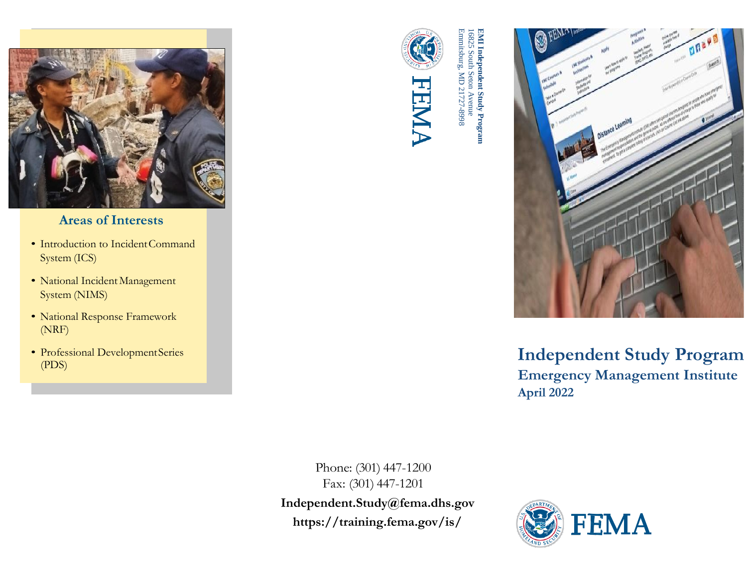

## **Areas of Interests**

- Introduction to IncidentCommand System (ICS)
- National Incident Management System (NIMS)
- National Response Framework (NRF)
- Professional DevelopmentSeries (PDS)



Emmitsburg, MD 21727 16825 South Seton Avenue **EMI Independent Study Program EMI Independent Study Program**<br>16825 South Seton Avenue<br>Emmitsburg, MD 21727-8998



**Independent Study Program Emergency Management Institute April 2022**

Phone: (301) 447-1200 Fax: (301) 447-1201 **[Independent.Study@fema.dhs.gov](mailto:Independent.Study@fema.dhs.gov) [https://training.fema.gov/is/](https://training.fema.gov/is)**